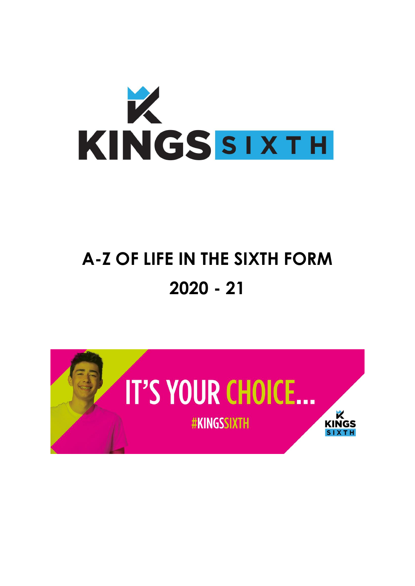

# **A-Z OF LIFE IN THE SIXTH FORM 2020 - 21**

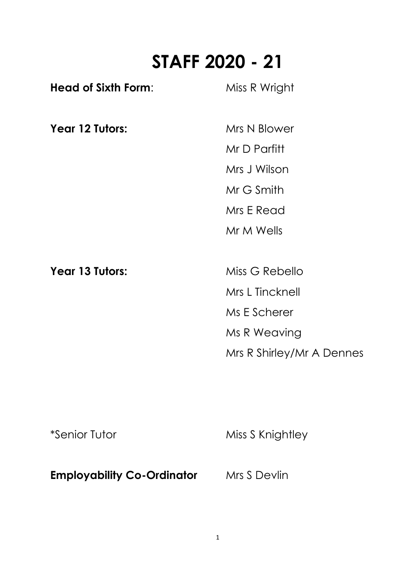# **STAFF 2020 - 21**

| <b>Head of Sixth Form:</b> | Miss R Wright             |
|----------------------------|---------------------------|
| Year 12 Tutors:            | Mrs N Blower              |
|                            | Mr D Parfitt              |
|                            | Mrs J Wilson              |
|                            | Mr G Smith                |
|                            | Mrs E Read                |
|                            | Mr M Wells                |
| Year 13 Tutors:            | Miss G Rebello            |
|                            | Mrs L Tincknell           |
|                            | Ms E Scherer              |
|                            | Ms R Weaving              |
|                            | Mrs R Shirley/Mr A Dennes |
|                            |                           |

\*Senior Tutor Miss S Knightley

**Employability Co-Ordinator** Mrs S Devlin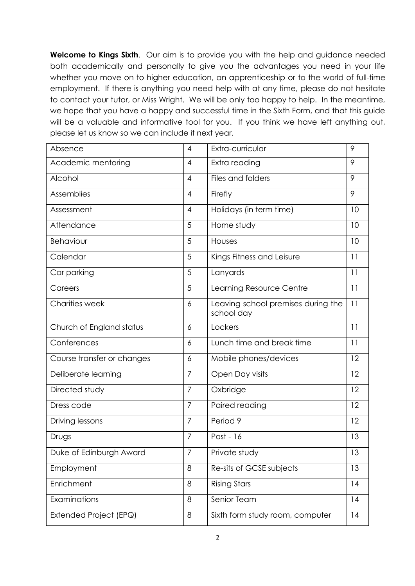**Welcome to Kings Sixth.** Our aim is to provide you with the help and guidance needed both academically and personally to give you the advantages you need in your life whether you move on to higher education, an apprenticeship or to the world of full-time employment. If there is anything you need help with at any time, please do not hesitate to contact your tutor, or Miss Wright. We will be only too happy to help. In the meantime, we hope that you have a happy and successful time in the Sixth Form, and that this guide will be a valuable and informative tool for you. If you think we have left anything out, please let us know so we can include it next year.

| Absence                    | $\overline{4}$ | Extra-curricular                                 | 9  |
|----------------------------|----------------|--------------------------------------------------|----|
| Academic mentoring         | $\overline{4}$ | Extra reading                                    | 9  |
| Alcohol                    | $\overline{4}$ | Files and folders                                | 9  |
| Assemblies                 | $\overline{4}$ | Firefly                                          | 9  |
| Assessment                 | $\overline{4}$ | Holidays (in term time)                          | 10 |
| Attendance                 | 5              | Home study                                       | 10 |
| Behaviour                  | 5              | Houses                                           | 10 |
| Calendar                   | 5              | Kings Fitness and Leisure                        | 11 |
| Car parking                | 5              | Lanyards                                         | 11 |
| Careers                    | 5              | Learning Resource Centre                         | 11 |
| <b>Charities week</b>      | 6              | Leaving school premises during the<br>school day | 11 |
| Church of England status   | 6              | Lockers                                          | 11 |
| Conferences                | 6              | Lunch time and break time                        | 11 |
| Course transfer or changes | 6              | Mobile phones/devices                            | 12 |
| Deliberate learning        | 7              | Open Day visits                                  | 12 |
| Directed study             | $\overline{7}$ | Oxbridge                                         | 12 |
| Dress code                 | $\overline{7}$ | Paired reading                                   | 12 |
| Driving lessons            | $\overline{7}$ | Period 9                                         | 12 |
| Drugs                      | 7              | Post - 16                                        | 13 |
| Duke of Edinburgh Award    | $\overline{7}$ | Private study                                    | 13 |
| Employment                 | 8              | Re-sits of GCSE subjects                         | 13 |
| Enrichment                 | 8              | <b>Rising Stars</b>                              | 14 |
| Examinations               | 8              | Senior Team                                      | 14 |
| Extended Project (EPQ)     | 8              | Sixth form study room, computer                  | 14 |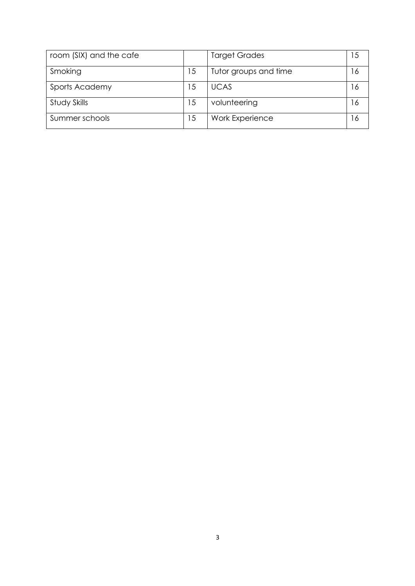| room (SIX) and the cafe |    | <b>Target Grades</b>  |              |
|-------------------------|----|-----------------------|--------------|
| Smoking                 | 15 | Tutor groups and time | <sup>6</sup> |
| Sports Academy          | 15 | <b>UCAS</b>           | 6            |
| Study Skills            | 15 | volunteering          | <sup>6</sup> |
| Summer schools          | 15 | Work Experience       | 6            |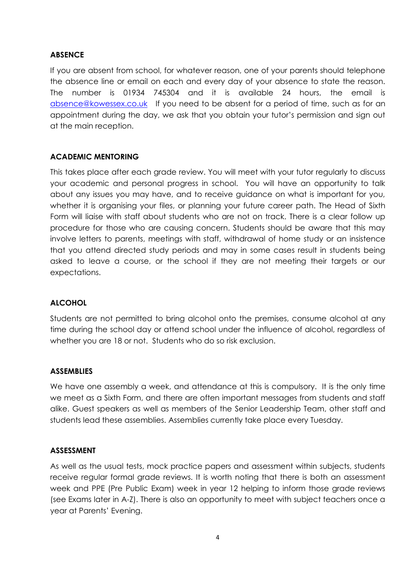# **ABSENCE**

If you are absent from school, for whatever reason, one of your parents should telephone the absence line or email on each and every day of your absence to state the reason. The number is 01934 745304 and it is available 24 hours, the email is [absence@kowessex.co.uk](mailto:absence@kowessex.co.uk) If you need to be absent for a period of time, such as for an appointment during the day, we ask that you obtain your tutor's permission and sign out at the main reception.

# **ACADEMIC MENTORING**

This takes place after each grade review. You will meet with your tutor regularly to discuss your academic and personal progress in school. You will have an opportunity to talk about any issues you may have, and to receive guidance on what is important for you, whether it is organising your files, or planning your future career path. The Head of Sixth Form will liaise with staff about students who are not on track. There is a clear follow up procedure for those who are causing concern. Students should be aware that this may involve letters to parents, meetings with staff, withdrawal of home study or an insistence that you attend directed study periods and may in some cases result in students being asked to leave a course, or the school if they are not meeting their targets or our expectations.

#### **ALCOHOL**

Students are not permitted to bring alcohol onto the premises, consume alcohol at any time during the school day or attend school under the influence of alcohol, regardless of whether you are 18 or not. Students who do so risk exclusion.

#### **ASSEMBLIES**

We have one assembly a week, and attendance at this is compulsory. It is the only time we meet as a Sixth Form, and there are often important messages from students and staff alike. Guest speakers as well as members of the Senior Leadership Team, other staff and students lead these assemblies. Assemblies currently take place every Tuesday.

#### **ASSESSMENT**

As well as the usual tests, mock practice papers and assessment within subjects, students receive regular formal grade reviews. It is worth noting that there is both an assessment week and PPE (Pre Public Exam) week in year 12 helping to inform those grade reviews (see Exams later in A-Z). There is also an opportunity to meet with subject teachers once a year at Parents' Evening.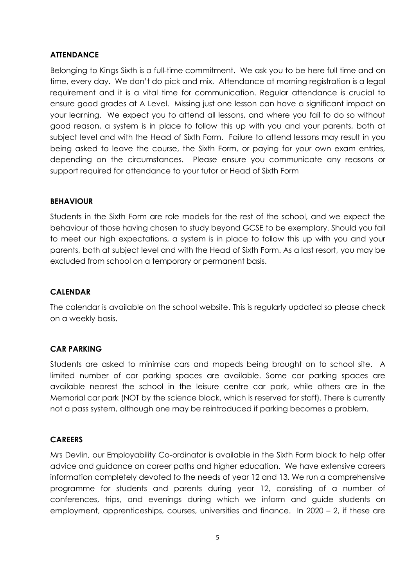# **ATTENDANCE**

Belonging to Kings Sixth is a full-time commitment. We ask you to be here full time and on time, every day. We don't do pick and mix. Attendance at morning registration is a legal requirement and it is a vital time for communication. Regular attendance is crucial to ensure good grades at A Level. Missing just one lesson can have a significant impact on your learning. We expect you to attend all lessons, and where you fail to do so without good reason, a system is in place to follow this up with you and your parents, both at subject level and with the Head of Sixth Form. Failure to attend lessons may result in you being asked to leave the course, the Sixth Form, or paying for your own exam entries, depending on the circumstances. Please ensure you communicate any reasons or support required for attendance to your tutor or Head of Sixth Form

#### **BEHAVIOUR**

Students in the Sixth Form are role models for the rest of the school, and we expect the behaviour of those having chosen to study beyond GCSE to be exemplary. Should you fail to meet our high expectations, a system is in place to follow this up with you and your parents, both at subject level and with the Head of Sixth Form. As a last resort, you may be excluded from school on a temporary or permanent basis.

# **CALENDAR**

The calendar is available on the school website. This is regularly updated so please check on a weekly basis.

#### **CAR PARKING**

Students are asked to minimise cars and mopeds being brought on to school site. A limited number of car parking spaces are available. Some car parking spaces are available nearest the school in the leisure centre car park, while others are in the Memorial car park (NOT by the science block, which is reserved for staff). There is currently not a pass system, although one may be reintroduced if parking becomes a problem.

#### **CAREERS**

Mrs Devlin, our Employability Co-ordinator is available in the Sixth Form block to help offer advice and guidance on career paths and higher education. We have extensive careers information completely devoted to the needs of year 12 and 13. We run a comprehensive programme for students and parents during year 12, consisting of a number of conferences, trips, and evenings during which we inform and guide students on employment, apprenticeships, courses, universities and finance. In 2020 – 2, if these are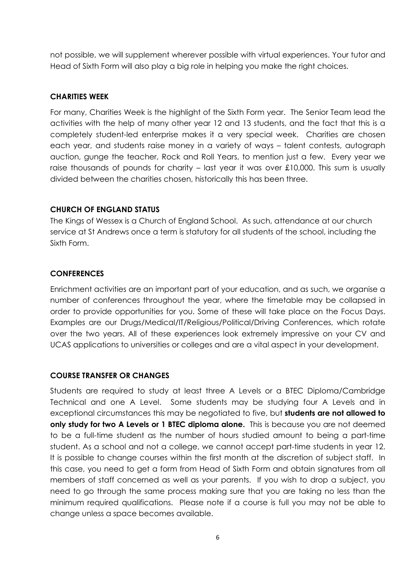not possible, we will supplement wherever possible with virtual experiences. Your tutor and Head of Sixth Form will also play a big role in helping you make the right choices.

# **CHARITIES WEEK**

For many, Charities Week is the highlight of the Sixth Form year. The Senior Team lead the activities with the help of many other year 12 and 13 students, and the fact that this is a completely student-led enterprise makes it a very special week. Charities are chosen each year, and students raise money in a variety of ways – talent contests, autograph auction, gunge the teacher, Rock and Roll Years, to mention just a few. Every year we raise thousands of pounds for charity – last year it was over £10,000. This sum is usually divided between the charities chosen, historically this has been three.

#### **CHURCH OF ENGLAND STATUS**

The Kings of Wessex is a Church of England School. As such, attendance at our church service at St Andrews once a term is statutory for all students of the school, including the Sixth Form.

#### **CONFERENCES**

Enrichment activities are an important part of your education, and as such, we organise a number of conferences throughout the year, where the timetable may be collapsed in order to provide opportunities for you. Some of these will take place on the Focus Days. Examples are our Drugs/Medical/IT/Religious/Political/Driving Conferences, which rotate over the two years. All of these experiences look extremely impressive on your CV and UCAS applications to universities or colleges and are a vital aspect in your development.

#### **COURSE TRANSFER OR CHANGES**

Students are required to study at least three A Levels or a BTEC Diploma/Cambridge Technical and one A Level. Some students may be studying four A Levels and in exceptional circumstances this may be negotiated to five, but **students are not allowed to only study for two A Levels or 1 BTEC diploma alone.** This is because you are not deemed to be a full-time student as the number of hours studied amount to being a part-time student. As a school and not a college, we cannot accept part-time students in year 12. It is possible to change courses within the first month at the discretion of subject staff. In this case, you need to get a form from Head of Sixth Form and obtain signatures from all members of staff concerned as well as your parents. If you wish to drop a subject, you need to go through the same process making sure that you are taking no less than the minimum required qualifications. Please note if a course is full you may not be able to change unless a space becomes available.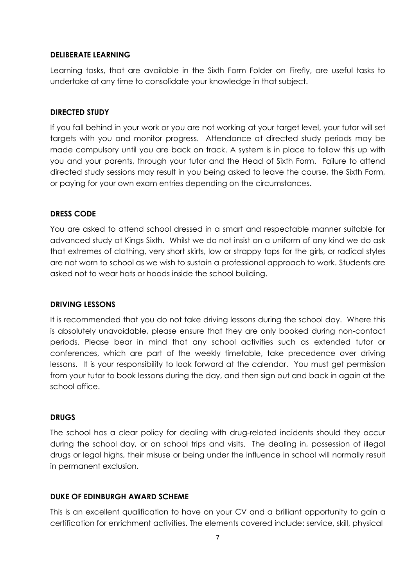#### **DELIBERATE LEARNING**

Learning tasks, that are available in the Sixth Form Folder on Firefly, are useful tasks to undertake at any time to consolidate your knowledge in that subject.

#### **DIRECTED STUDY**

If you fall behind in your work or you are not working at your target level, your tutor will set targets with you and monitor progress. Attendance at directed study periods may be made compulsory until you are back on track. A system is in place to follow this up with you and your parents, through your tutor and the Head of Sixth Form. Failure to attend directed study sessions may result in you being asked to leave the course, the Sixth Form, or paying for your own exam entries depending on the circumstances.

#### **DRESS CODE**

You are asked to attend school dressed in a smart and respectable manner suitable for advanced study at Kings Sixth. Whilst we do not insist on a uniform of any kind we do ask that extremes of clothing, very short skirts, low or strappy tops for the girls, or radical styles are not worn to school as we wish to sustain a professional approach to work. Students are asked not to wear hats or hoods inside the school building.

#### **DRIVING LESSONS**

It is recommended that you do not take driving lessons during the school day. Where this is absolutely unavoidable, please ensure that they are only booked during non-contact periods. Please bear in mind that any school activities such as extended tutor or conferences, which are part of the weekly timetable, take precedence over driving lessons. It is your responsibility to look forward at the calendar. You must get permission from your tutor to book lessons during the day, and then sign out and back in again at the school office.

#### **DRUGS**

The school has a clear policy for dealing with drug-related incidents should they occur during the school day, or on school trips and visits. The dealing in, possession of illegal drugs or legal highs, their misuse or being under the influence in school will normally result in permanent exclusion.

#### **DUKE OF EDINBURGH AWARD SCHEME**

This is an excellent qualification to have on your CV and a brilliant opportunity to gain a certification for enrichment activities. The elements covered include: service, skill, physical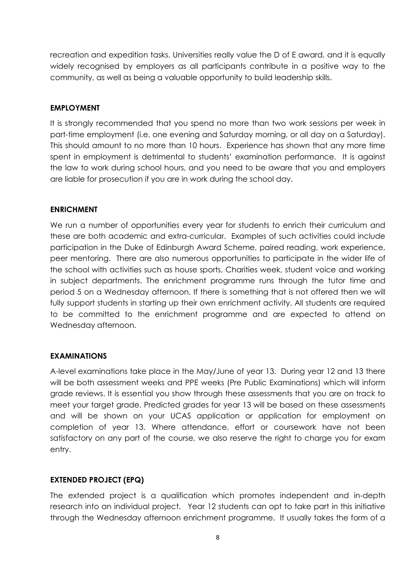recreation and expedition tasks. Universities really value the D of E award, and it is equally widely recognised by employers as all participants contribute in a positive way to the community, as well as being a valuable opportunity to build leadership skills.

#### **EMPLOYMENT**

It is strongly recommended that you spend no more than two work sessions per week in part-time employment (i.e. one evening and Saturday morning, or all day on a Saturday). This should amount to no more than 10 hours. Experience has shown that any more time spent in employment is detrimental to students' examination performance. It is against the law to work during school hours, and you need to be aware that you and employers are liable for prosecution if you are in work during the school day.

#### **ENRICHMENT**

We run a number of opportunities every year for students to enrich their curriculum and these are both academic and extra-curricular. Examples of such activities could include participation in the Duke of Edinburgh Award Scheme, paired reading, work experience, peer mentoring. There are also numerous opportunities to participate in the wider life of the school with activities such as house sports, Charities week, student voice and working in subject departments. The enrichment programme runs through the tutor time and period 5 on a Wednesday afternoon. If there is something that is not offered then we will fully support students in starting up their own enrichment activity. All students are required to be committed to the enrichment programme and are expected to attend on Wednesday afternoon.

#### **EXAMINATIONS**

A-level examinations take place in the May/June of year 13. During year 12 and 13 there will be both assessment weeks and PPE weeks (Pre Public Examinations) which will inform grade reviews. It is essential you show through these assessments that you are on track to meet your target grade. Predicted grades for year 13 will be based on these assessments and will be shown on your UCAS application or application for employment on completion of year 13. Where attendance, effort or coursework have not been satisfactory on any part of the course, we also reserve the right to charge you for exam entry.

#### **EXTENDED PROJECT (EPQ)**

The extended project is a qualification which promotes independent and in-depth research into an individual project. Year 12 students can opt to take part in this initiative through the Wednesday afternoon enrichment programme. It usually takes the form of a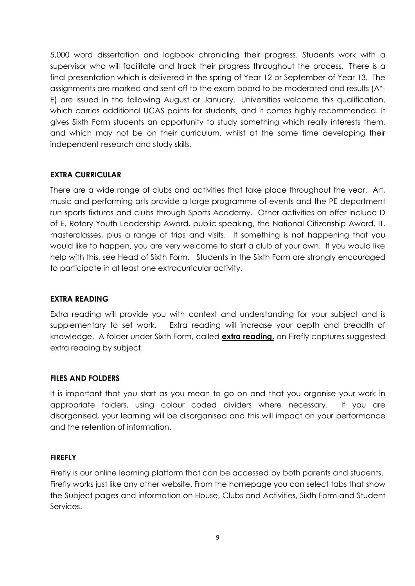5,000 word dissertation and logbook chronicling their progress. Students work with a supervisor who will facilitate and track their progress throughout the process. There is a final presentation which is delivered in the spring of Year 12 or September of Year 13. The assignments are marked and sent off to the exam board to be moderated and results (A\*- E) are issued in the following August or January. Universities welcome this qualification, which carries additional UCAS points for students, and it comes highly recommended. It gives Sixth Form students an opportunity to study something which really interests them, and which may not be on their curriculum, whilst at the same time developing their independent research and study skills.

# **EXTRA CURRICULAR**

There are a wide range of clubs and activities that take place throughout the year. Art, music and performing arts provide a large programme of events and the PE department run sports fixtures and clubs through Sports Academy. Other activities on offer include D of E, Rotary Youth Leadership Award, public speaking, the National Citizenship Award, IT, masterclasses, plus a range of trips and visits. If something is not happening that you would like to happen, you are very welcome to start a club of your own. If you would like help with this, see Head of Sixth Form. Students in the Sixth Form are strongly encouraged to participate in at least one extracurricular activity.

#### **EXTRA READING**

Extra reading will provide you with context and understanding for your subject and is supplementary to set work. Extra reading will increase your depth and breadth of knowledge. A folder under Sixth Form, called **extra reading,** on Firefly captures suggested extra reading by subject.

#### **FILES AND FOLDERS**

It is important that you start as you mean to go on and that you organise your work in appropriate folders, using colour coded dividers where necessary. If you are disorganised, your learning will be disorganised and this will impact on your performance and the retention of information.

#### **FIREFLY**

Firefly is our online learning platform that can be accessed by both parents and students. Firefly works just like any other website. From the homepage you can select tabs that show the Subject pages and information on House, Clubs and Activities, Sixth Form and Student Services.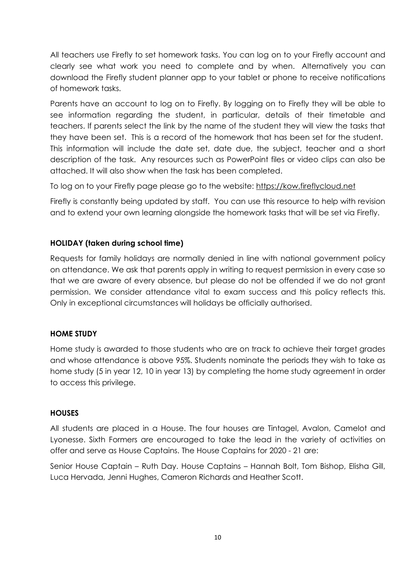All teachers use Firefly to set homework tasks. You can log on to your Firefly account and clearly see what work you need to complete and by when. Alternatively you can download the Firefly student planner app to your tablet or phone to receive notifications of homework tasks.

Parents have an account to log on to Firefly. By logging on to Firefly they will be able to see information regarding the student, in particular, details of their timetable and teachers. If parents select the link by the name of the student they will view the tasks that they have been set. This is a record of the homework that has been set for the student. This information will include the date set, date due, the subject, teacher and a short description of the task. Any resources such as PowerPoint files or video clips can also be attached. It will also show when the task has been completed.

To log on to your Firefly page please go to the website: [https://kow.fireflycloud.net](https://kow.fireflycloud.net/)

Firefly is constantly being updated by staff. You can use this resource to help with revision and to extend your own learning alongside the homework tasks that will be set via Firefly.

# **HOLIDAY (taken during school time)**

Requests for family holidays are normally denied in line with national government policy on attendance. We ask that parents apply in writing to request permission in every case so that we are aware of every absence, but please do not be offended if we do not grant permission. We consider attendance vital to exam success and this policy reflects this. Only in exceptional circumstances will holidays be officially authorised.

#### **HOME STUDY**

Home study is awarded to those students who are on track to achieve their target grades and whose attendance is above 95%. Students nominate the periods they wish to take as home study (5 in year 12, 10 in year 13) by completing the home study agreement in order to access this privilege.

#### **HOUSES**

All students are placed in a House. The four houses are Tintagel, Avalon, Camelot and Lyonesse. Sixth Formers are encouraged to take the lead in the variety of activities on offer and serve as House Captains. The House Captains for 2020 - 21 are:

Senior House Captain – Ruth Day. House Captains – Hannah Bolt, Tom Bishop, Elisha Gill, Luca Hervada, Jenni Hughes, Cameron Richards and Heather Scott.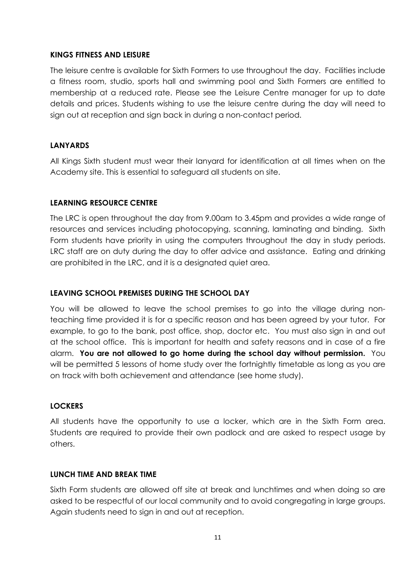# **KINGS FITNESS AND LEISURE**

The leisure centre is available for Sixth Formers to use throughout the day. Facilities include a fitness room, studio, sports hall and swimming pool and Sixth Formers are entitled to membership at a reduced rate. Please see the Leisure Centre manager for up to date details and prices. Students wishing to use the leisure centre during the day will need to sign out at reception and sign back in during a non-contact period.

# **LANYARDS**

All Kings Sixth student must wear their lanyard for identification at all times when on the Academy site. This is essential to safeguard all students on site.

# **LEARNING RESOURCE CENTRE**

The LRC is open throughout the day from 9.00am to 3.45pm and provides a wide range of resources and services including photocopying, scanning, laminating and binding. Sixth Form students have priority in using the computers throughout the day in study periods. LRC staff are on duty during the day to offer advice and assistance. Eating and drinking are prohibited in the LRC, and it is a designated quiet area.

# **LEAVING SCHOOL PREMISES DURING THE SCHOOL DAY**

You will be allowed to leave the school premises to go into the village during nonteaching time provided it is for a specific reason and has been agreed by your tutor. For example, to go to the bank, post office, shop, doctor etc. You must also sign in and out at the school office. This is important for health and safety reasons and in case of a fire alarm. **You are not allowed to go home during the school day without permission.** You will be permitted 5 lessons of home study over the fortnightly timetable as long as you are on track with both achievement and attendance (see home study).

#### **LOCKERS**

All students have the opportunity to use a locker, which are in the Sixth Form area. Students are required to provide their own padlock and are asked to respect usage by others.

#### **LUNCH TIME AND BREAK TIME**

Sixth Form students are allowed off site at break and lunchtimes and when doing so are asked to be respectful of our local community and to avoid congregating in large groups. Again students need to sign in and out at reception.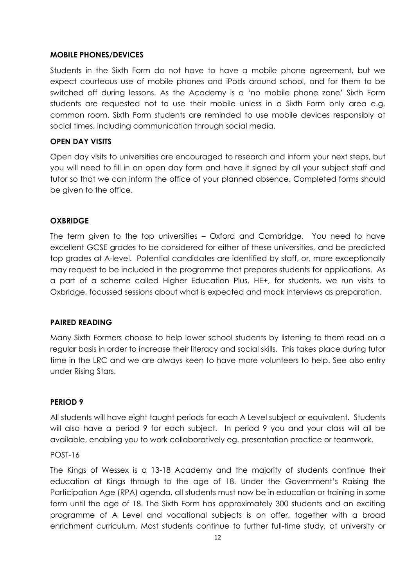#### **MOBILE PHONES/DEVICES**

Students in the Sixth Form do not have to have a mobile phone agreement, but we expect courteous use of mobile phones and iPods around school, and for them to be switched off during lessons. As the Academy is a 'no mobile phone zone' Sixth Form students are requested not to use their mobile unless in a Sixth Form only area e.g. common room. Sixth Form students are reminded to use mobile devices responsibly at social times, including communication through social media.

#### **OPEN DAY VISITS**

Open day visits to universities are encouraged to research and inform your next steps, but you will need to fill in an open day form and have it signed by all your subject staff and tutor so that we can inform the office of your planned absence. Completed forms should be given to the office.

#### **OXBRIDGE**

The term given to the top universities – Oxford and Cambridge. You need to have excellent GCSE grades to be considered for either of these universities, and be predicted top grades at A-level. Potential candidates are identified by staff, or, more exceptionally may request to be included in the programme that prepares students for applications. As a part of a scheme called Higher Education Plus, HE+, for students, we run visits to Oxbridge, focussed sessions about what is expected and mock interviews as preparation.

#### **PAIRED READING**

Many Sixth Formers choose to help lower school students by listening to them read on a regular basis in order to increase their literacy and social skills. This takes place during tutor time in the LRC and we are always keen to have more volunteers to help. See also entry under Rising Stars.

#### **PERIOD 9**

All students will have eight taught periods for each A Level subject or equivalent. Students will also have a period 9 for each subject. In period 9 you and your class will all be available, enabling you to work collaboratively eg. presentation practice or teamwork.

#### POST-16

The Kings of Wessex is a 13-18 Academy and the majority of students continue their education at Kings through to the age of 18. Under the Government's Raising the Participation Age (RPA) agenda, all students must now be in education or training in some form until the age of 18. The Sixth Form has approximately 300 students and an exciting programme of A Level and vocational subjects is on offer, together with a broad enrichment curriculum. Most students continue to further full-time study, at university or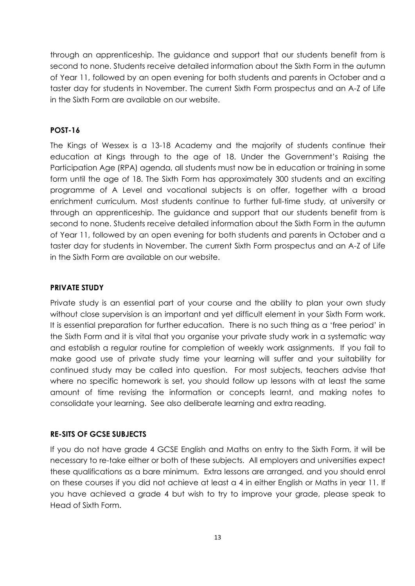through an apprenticeship. The guidance and support that our students benefit from is second to none. Students receive detailed information about the Sixth Form in the autumn of Year 11, followed by an open evening for both students and parents in October and a taster day for students in November. The current Sixth Form prospectus and an A-Z of Life in the Sixth Form are available on our website.

#### **POST-16**

The Kings of Wessex is a 13-18 Academy and the majority of students continue their education at Kings through to the age of 18. Under the Government's Raising the Participation Age (RPA) agenda, all students must now be in education or training in some form until the age of 18. The Sixth Form has approximately 300 students and an exciting programme of A Level and vocational subjects is on offer, together with a broad enrichment curriculum. Most students continue to further full-time study, at university or through an apprenticeship. The guidance and support that our students benefit from is second to none. Students receive detailed information about the Sixth Form in the autumn of Year 11, followed by an open evening for both students and parents in October and a taster day for students in November. The current Sixth Form prospectus and an A-Z of Life in the Sixth Form are available on our website.

# **PRIVATE STUDY**

Private study is an essential part of your course and the ability to plan your own study without close supervision is an important and yet difficult element in your Sixth Form work. It is essential preparation for further education. There is no such thing as a 'free period' in the Sixth Form and it is vital that you organise your private study work in a systematic way and establish a regular routine for completion of weekly work assignments. If you fail to make good use of private study time your learning will suffer and your suitability for continued study may be called into question. For most subjects, teachers advise that where no specific homework is set, you should follow up lessons with at least the same amount of time revising the information or concepts learnt, and making notes to consolidate your learning. See also deliberate learning and extra reading.

#### **RE-SITS OF GCSE SUBJECTS**

If you do not have grade 4 GCSE English and Maths on entry to the Sixth Form, it will be necessary to re-take either or both of these subjects. All employers and universities expect these qualifications as a bare minimum. Extra lessons are arranged, and you should enrol on these courses if you did not achieve at least a 4 in either English or Maths in year 11. If you have achieved a grade 4 but wish to try to improve your grade, please speak to Head of Sixth Form.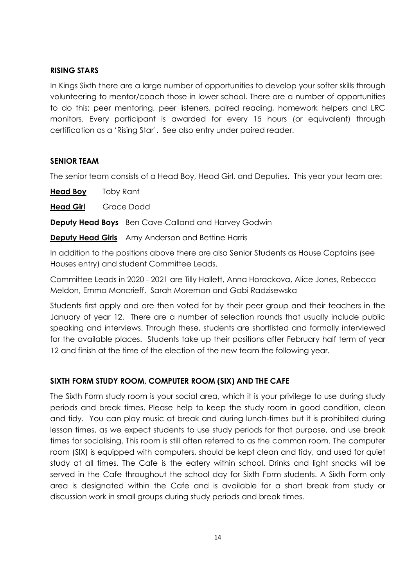# **RISING STARS**

In Kings Sixth there are a large number of opportunities to develop your softer skills through volunteering to mentor/coach those in lower school. There are a number of opportunities to do this; peer mentoring, peer listeners, paired reading, homework helpers and LRC monitors. Every participant is awarded for every 15 hours (or equivalent) through certification as a 'Rising Star'. See also entry under paired reader.

# **SENIOR TEAM**

The senior team consists of a Head Boy, Head Girl, and Deputies. This year your team are:

**Head Boy** Toby Rant

**Head Girl** Grace Dodd

**Deputy Head Boys** Ben Cave-Calland and Harvey Godwin

**Deputy Head Girls** Amy Anderson and Bettine Harris

In addition to the positions above there are also Senior Students as House Captains (see Houses entry) and student Committee Leads.

Committee Leads in 2020 - 2021 are Tilly Hallett, Anna Horackova, Alice Jones, Rebecca Meldon, Emma Moncrieff, Sarah Moreman and Gabi Radzisewska

Students first apply and are then voted for by their peer group and their teachers in the January of year 12. There are a number of selection rounds that usually include public speaking and interviews. Through these, students are shortlisted and formally interviewed for the available places. Students take up their positions after February half term of year 12 and finish at the time of the election of the new team the following year.

# **SIXTH FORM STUDY ROOM, COMPUTER ROOM (SIX) AND THE CAFE**

The Sixth Form study room is your social area, which it is your privilege to use during study periods and break times. Please help to keep the study room in good condition, clean and tidy. You can play music at break and during lunch-times but it is prohibited during lesson times, as we expect students to use study periods for that purpose, and use break times for socialising. This room is still often referred to as the common room. The computer room (SIX) is equipped with computers, should be kept clean and tidy, and used for quiet study at all times. The Cafe is the eatery within school. Drinks and light snacks will be served in the Cafe throughout the school day for Sixth Form students. A Sixth Form only area is designated within the Cafe and is available for a short break from study or discussion work in small groups during study periods and break times.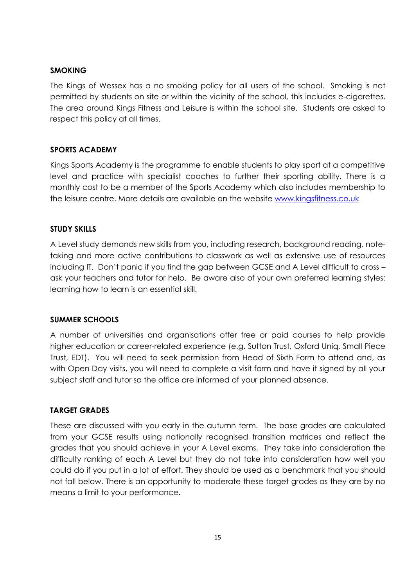# **SMOKING**

The Kings of Wessex has a no smoking policy for all users of the school. Smoking is not permitted by students on site or within the vicinity of the school, this includes e-cigarettes. The area around Kings Fitness and Leisure is within the school site. Students are asked to respect this policy at all times.

# **SPORTS ACADEMY**

Kings Sports Academy is the programme to enable students to play sport at a competitive level and practice with specialist coaches to further their sporting ability. There is a monthly cost to be a member of the Sports Academy which also includes membership to the leisure centre. More details are available on the website [www.kingsfitness.co.uk](http://www.kingsfitness.co.uk/)

# **STUDY SKILLS**

A Level study demands new skills from you, including research, background reading, notetaking and more active contributions to classwork as well as extensive use of resources including IT. Don't panic if you find the gap between GCSE and A Level difficult to cross – ask your teachers and tutor for help. Be aware also of your own preferred learning styles: learning how to learn is an essential skill.

#### **SUMMER SCHOOLS**

A number of universities and organisations offer free or paid courses to help provide higher education or career-related experience (e.g. Sutton Trust, Oxford Uniq, Small Piece Trust, EDT). You will need to seek permission from Head of Sixth Form to attend and, as with Open Day visits, you will need to complete a visit form and have it signed by all your subject staff and tutor so the office are informed of your planned absence.

# **TARGET GRADES**

These are discussed with you early in the autumn term. The base grades are calculated from your GCSE results using nationally recognised transition matrices and reflect the grades that you should achieve in your A Level exams. They take into consideration the difficulty ranking of each A Level but they do not take into consideration how well you could do if you put in a lot of effort. They should be used as a benchmark that you should not fall below. There is an opportunity to moderate these target grades as they are by no means a limit to your performance.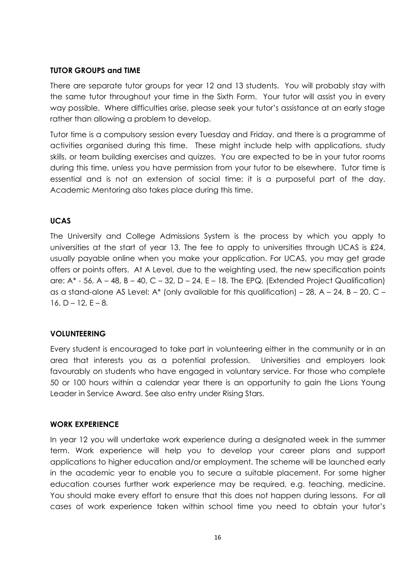#### **TUTOR GROUPS and TIME**

There are separate tutor groups for year 12 and 13 students. You will probably stay with the same tutor throughout your time in the Sixth Form. Your tutor will assist you in every way possible. Where difficulties arise, please seek your tutor's assistance at an early stage rather than allowing a problem to develop.

Tutor time is a compulsory session every Tuesday and Friday, and there is a programme of activities organised during this time. These might include help with applications, study skills, or team building exercises and quizzes. You are expected to be in your tutor rooms during this time, unless you have permission from your tutor to be elsewhere. Tutor time is essential and is not an extension of social time; it is a purposeful part of the day. Academic Mentoring also takes place during this time.

#### **UCAS**

The University and College Admissions System is the process by which you apply to universities at the start of year 13. The fee to apply to universities through UCAS is £24, usually payable online when you make your application. For UCAS, you may get grade offers or points offers. At A Level, due to the weighting used, the new specification points are:  $A^*$  - 56, A – 48, B – 40, C – 32, D – 24, E – 18. The EPQ, (Extended Project Qualification) as a stand-alone AS Level: A\* (only available for this qualification) – 28,  $A - 24$ ,  $B - 20$ ,  $C 16, D - 12, E - 8.$ 

#### **VOLUNTEERING**

Every student is encouraged to take part in volunteering either in the community or in an area that interests you as a potential profession. Universities and employers look favourably on students who have engaged in voluntary service. For those who complete 50 or 100 hours within a calendar year there is an opportunity to gain the Lions Young Leader in Service Award. See also entry under Rising Stars.

#### **WORK EXPERIENCE**

In year 12 you will undertake work experience during a designated week in the summer term. Work experience will help you to develop your career plans and support applications to higher education and/or employment. The scheme will be launched early in the academic year to enable you to secure a suitable placement. For some higher education courses further work experience may be required, e.g. teaching, medicine. You should make every effort to ensure that this does not happen during lessons. For all cases of work experience taken within school time you need to obtain your tutor's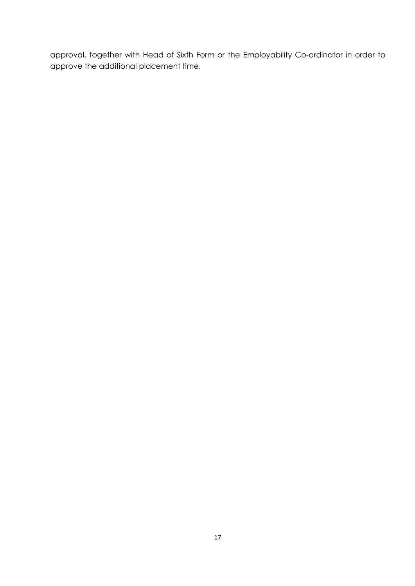approval, together with Head of Sixth Form or the Employability Co-ordinator in order to approve the additional placement time.